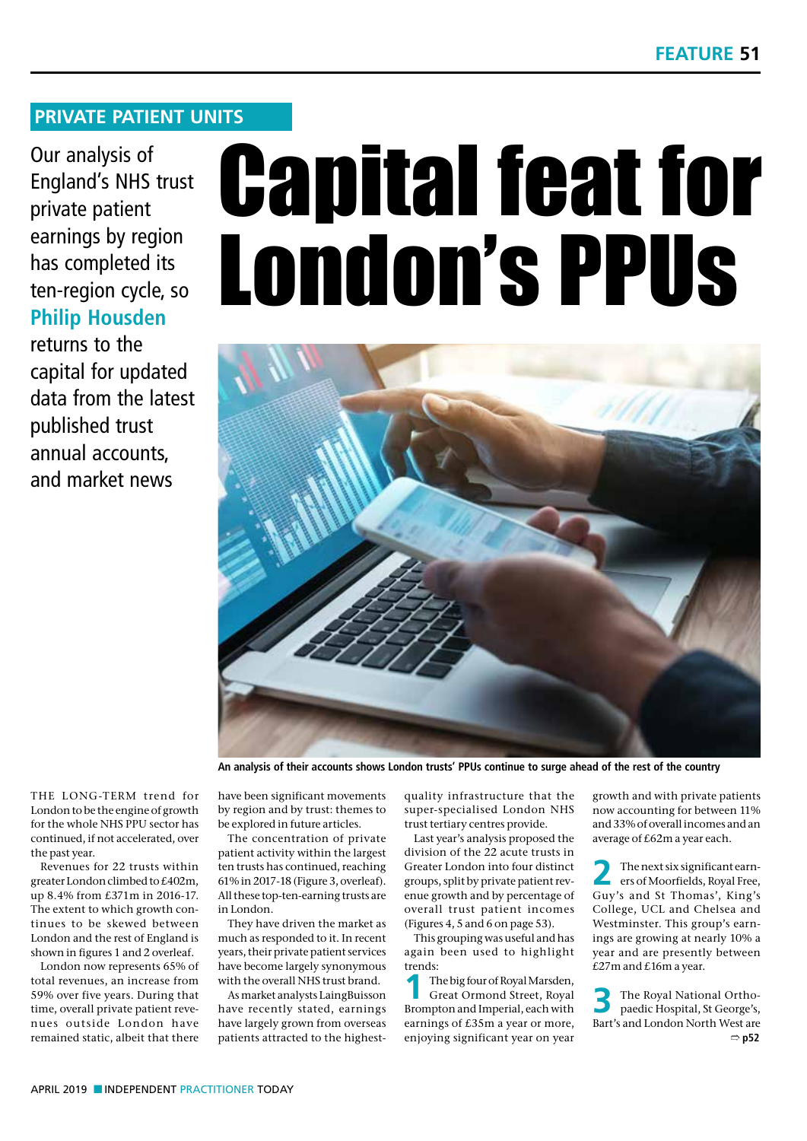# **PRIVATE PATIENT UNITS**

Our analysis of England's NHS trust private patient earnings by region has completed its ten-region cycle, so **Philip Housden**

returns to the capital for updated data from the latest published trust annual accounts, and market news

# Capital feat for London's PPUs



**An analysis of their accounts shows London trusts' PPUs continue to surge ahead of the rest of the country**

THE LONG-TERM trend for London to be the engine of growth for the whole NHS PPU sector has continued, if not accelerated, over the past year.

Revenues for 22 trusts within greater London climbed to £402m, up 8.4% from £371m in 2016-17. The extent to which growth continues to be skewed between London and the rest of England is shown in figures 1 and 2 overleaf.

London now represents 65% of total revenues, an increase from 59% over five years. During that time, overall private patient revenues outside London have remained static, albeit that there

have been significant movements by region and by trust: themes to be explored in future articles.

The concentration of private patient activity within the largest ten trusts has continued, reaching 61% in 2017-18 (Figure 3, overleaf). All these top-ten-earning trusts are in London.

They have driven the market as much as responded to it. In recent years, their private patient services have become largely synonymous with the overall NHS trust brand.

As market analysts LaingBuisson have recently stated, earnings have largely grown from overseas patients attracted to the highestquality infrastructure that the super-specialised London NHS trust tertiary centres provide.

Last year's analysis proposed the division of the 22 acute trusts in Greater London into four distinct groups, split by private patient revenue growth and by percentage of overall trust patient incomes (Figures 4, 5 and 6 on page 53).

This grouping was useful and has again been used to highlight trends:

The big four of Royal Marsden, Great Ormond Street, Royal Brompton and Imperial, each with earnings of £35m a year or more, enjoying significant year on year growth and with private patients now accounting for between 11% and 33% of overall incomes and an average of £62m a year each.

**2** The next six significant earn-ers of Moorfields, Royal Free, Guy's and St Thomas', King's College, UCL and Chelsea and Westminster. This group's earnings are growing at nearly 10% a year and are presently between £27m and £16m a year.

**3** The Royal National Ortho-paedic Hospital, St George's, Bart's and London North West are ➱ **p52**